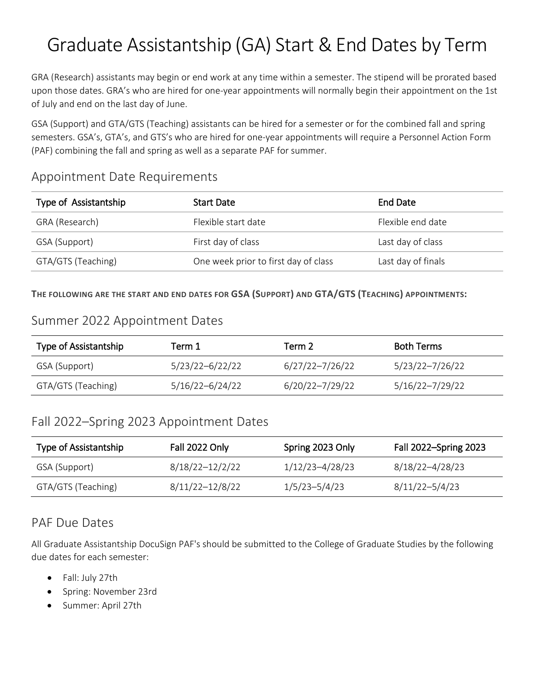# Graduate Assistantship (GA) Start & End Dates by Term

GRA (Research) assistants may begin or end work at any time within a semester. The stipend will be prorated based upon those dates. GRA's who are hired for one-year appointments will normally begin their appointment on the 1st of July and end on the last day of June.

GSA (Support) and GTA/GTS (Teaching) assistants can be hired for a semester or for the combined fall and spring semesters. GSA's, GTA's, and GTS's who are hired for one-year appointments will require a Personnel Action Form (PAF) combining the fall and spring as well as a separate PAF for summer.

#### Appointment Date Requirements

| Type of Assistantship | <b>Start Date</b>                    | End Date           |
|-----------------------|--------------------------------------|--------------------|
| GRA (Research)        | Flexible start date                  | Flexible end date  |
| GSA (Support)         | First day of class                   | Last day of class  |
| GTA/GTS (Teaching)    | One week prior to first day of class | Last day of finals |

**THE FOLLOWING ARE THE START AND END DATES FOR GSA (SUPPORT) AND GTA/GTS (TEACHING) APPOINTMENTS:**

#### Summer 2022 Appointment Dates

| Type of Assistantship | Term 1          | Term 2.         | <b>Both Terms</b> |
|-----------------------|-----------------|-----------------|-------------------|
| GSA (Support)         | 5/23/22-6/22/22 | 6/27/22-7/26/22 | 5/23/22-7/26/22   |
| GTA/GTS (Teaching)    | 5/16/22-6/24/22 | 6/20/22-7/29/22 | 5/16/22-7/29/22   |

## Fall 2022–Spring 2023 Appointment Dates

| Type of Assistantship | Fall 2022 Only  | Spring 2023 Only | Fall 2022-Spring 2023 |
|-----------------------|-----------------|------------------|-----------------------|
| GSA (Support)         | 8/18/22-12/2/22 | 1/12/23-4/28/23  | 8/18/22-4/28/23       |
| GTA/GTS (Teaching)    | 8/11/22-12/8/22 | 1/5/23-5/4/23    | 8/11/22-5/4/23        |

## PAF Due Dates

All Graduate Assistantship DocuSign PAF's should be submitted to the College of Graduate Studies by the following due dates for each semester:

- Fall: July 27th
- Spring: November 23rd
- Summer: April 27th